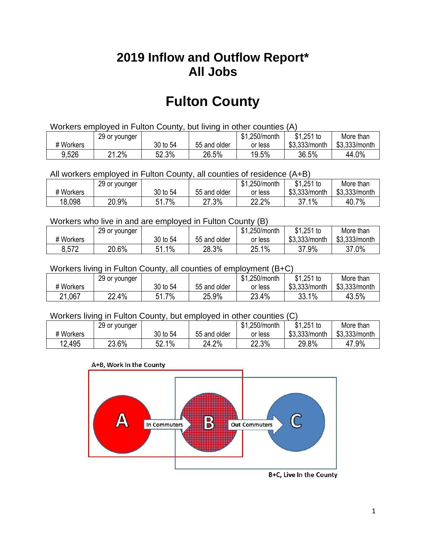## **2019 Inflow and Outflow Report\* All Jobs**

# **Fulton County**

| Workers employed in Fulton County, but living in other counties (A) |                                                            |          |              |         |               |               |  |  |  |
|---------------------------------------------------------------------|------------------------------------------------------------|----------|--------------|---------|---------------|---------------|--|--|--|
|                                                                     | $$1,251$ to<br>\$1.250/month<br>29 or younger<br>More than |          |              |         |               |               |  |  |  |
| # Workers                                                           |                                                            | 30 to 54 | 55 and older | or less | \$3.333/month | \$3,333/month |  |  |  |
| 9,526                                                               | 21.2%                                                      | 52.3%    | 26.5%        | 19.5%   | 36.5%         | 44.0%         |  |  |  |

All workers employed in Fulton County, all counties of residence (A+B)

|           | 29 or younger |          |              | \$1,250/month | $$1,251$ to   | More than     |
|-----------|---------------|----------|--------------|---------------|---------------|---------------|
| # Workers |               | 30 to 54 | 55 and older | or less       | \$3,333/month | \$3,333/month |
| 18,098    | 20.9%         | 7%       | 27.3%        | 22.2%         | 37.1%         | 40.7%         |

#### Workers who live in and are employed in Fulton County (B)

|           | 29 or younger |               |              | \$1,250/month | $$1,251$ to   | More than     |
|-----------|---------------|---------------|--------------|---------------|---------------|---------------|
| # Workers |               | 30 to 54      | 55 and older | or less       | \$3,333/month | \$3,333/month |
| 8,572     | 20.6%         | $1\%$<br>C 4. | 28.3%        | 25.1%         | 37.9%         | 37.0%         |

#### Workers living in Fulton County, all counties of employment (B+C)

|              | 29 or younger |                      |              | \$1,250/month | \$1,251 to    | More than     |
|--------------|---------------|----------------------|--------------|---------------|---------------|---------------|
| # Workers    |               | 30 to 54             | 55 and older | or less       | \$3,333/month | \$3,333/month |
| 1,067<br>ኅ 1 | 22.4%         | 7%<br>74.<br>$\cdot$ | 25.9%        | 23.4%         | 33.1%         | 43.5%         |

#### Workers living in Fulton County, but employed in other counties (C)

|           | 29 or younger |                           |              | \$1,250/month | $$1,251$ to   | More than     |
|-----------|---------------|---------------------------|--------------|---------------|---------------|---------------|
| # Workers |               | 30 to 54                  | 55 and older | or less       | \$3,333/month | \$3,333/month |
| 12,495    | 23.6%         | $1\%$<br>52. <sup>.</sup> | 24.2%        | 22.3%         | 29.8%         | 47.9%         |

#### A+B, Work In the County